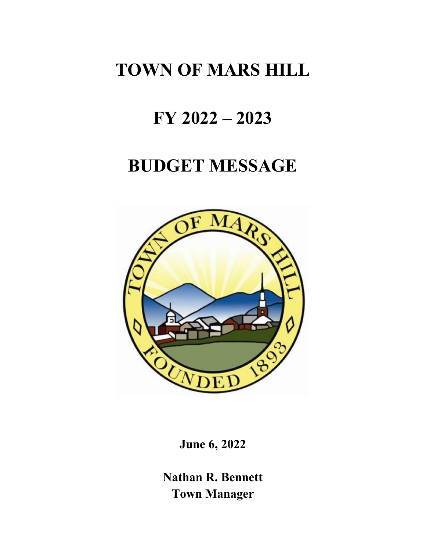# **TOWN OF MARS HILL**

# **FY 2022 – 2023**

## **BUDGET MESSAGE**



**June 6, 2022**

**Nathan R. Bennett Town Manager**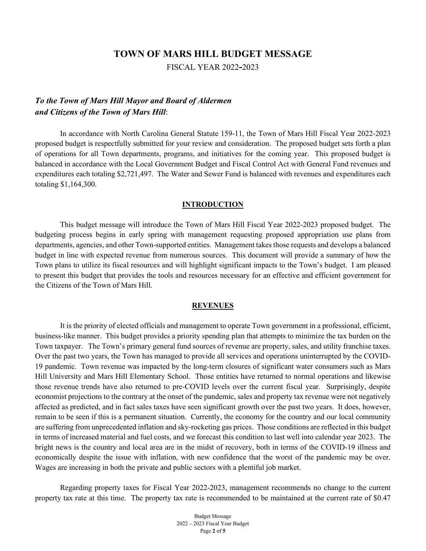## **TOWN OF MARS HILL BUDGET MESSAGE**

FISCAL YEAR 2022**-**2023

## *To the Town of Mars Hill Mayor and Board of Aldermen and Citizens of the Town of Mars Hill*:

In accordance with North Carolina General Statute 159-11, the Town of Mars Hill Fiscal Year 2022-2023 proposed budget is respectfully submitted for your review and consideration. The proposed budget sets forth a plan of operations for all Town departments, programs, and initiatives for the coming year. This proposed budget is balanced in accordance with the Local Government Budget and Fiscal Control Act with General Fund revenues and expenditures each totaling \$2,721,497. The Water and Sewer Fund is balanced with revenues and expenditures each totaling \$1,164,300.

### **INTRODUCTION**

This budget message will introduce the Town of Mars Hill Fiscal Year 2022-2023 proposed budget. The budgeting process begins in early spring with management requesting proposed appropriation use plans from departments, agencies, and other Town-supported entities. Management takes those requests and develops a balanced budget in line with expected revenue from numerous sources. This document will provide a summary of how the Town plans to utilize its fiscal resources and will highlight significant impacts to the Town's budget. I am pleased to present this budget that provides the tools and resources necessary for an effective and efficient government for the Citizens of the Town of Mars Hill.

### **REVENUES**

It is the priority of elected officials and management to operate Town government in a professional, efficient, business-like manner. This budget provides a priority spending plan that attempts to minimize the tax burden on the Town taxpayer. The Town's primary general fund sources of revenue are property, sales, and utility franchise taxes. Over the past two years, the Town has managed to provide all services and operations uninterrupted by the COVID-19 pandemic. Town revenue was impacted by the long-term closures of significant water consumers such as Mars Hill University and Mars Hill Elementary School. Those entities have returned to normal operations and likewise those revenue trends have also returned to pre-COVID levels over the current fiscal year. Surprisingly, despite economist projections to the contrary at the onset of the pandemic, sales and property tax revenue were not negatively affected as predicted, and in fact sales taxes have seen significant growth over the past two years. It does, however, remain to be seen if this is a permanent situation. Currently, the economy for the country and our local community are suffering from unprecedented inflation and sky-rocketing gas prices. Those conditions are reflected in this budget in terms of increased material and fuel costs, and we forecast this condition to last well into calendar year 2023. The bright news is the country and local area are in the midst of recovery, both in terms of the COVID-19 illness and economically despite the issue with inflation, with new confidence that the worst of the pandemic may be over. Wages are increasing in both the private and public sectors with a plentiful job market.

Regarding property taxes for Fiscal Year 2022-2023, management recommends no change to the current property tax rate at this time. The property tax rate is recommended to be maintained at the current rate of \$0.47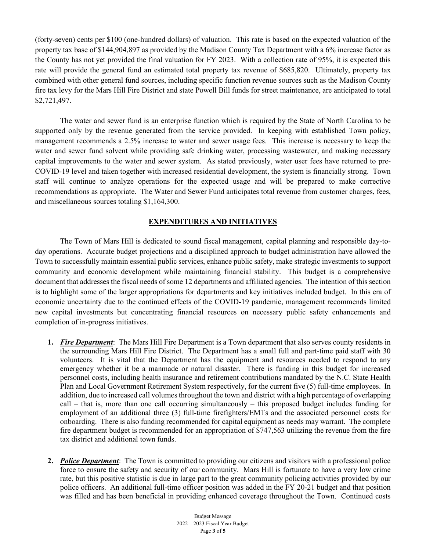(forty-seven) cents per \$100 (one-hundred dollars) of valuation. This rate is based on the expected valuation of the property tax base of \$144,904,897 as provided by the Madison County Tax Department with a 6% increase factor as the County has not yet provided the final valuation for FY 2023. With a collection rate of 95%, it is expected this rate will provide the general fund an estimated total property tax revenue of \$685,820. Ultimately, property tax combined with other general fund sources, including specific function revenue sources such as the Madison County fire tax levy for the Mars Hill Fire District and state Powell Bill funds for street maintenance, are anticipated to total \$2,721,497.

The water and sewer fund is an enterprise function which is required by the State of North Carolina to be supported only by the revenue generated from the service provided. In keeping with established Town policy, management recommends a 2.5% increase to water and sewer usage fees. This increase is necessary to keep the water and sewer fund solvent while providing safe drinking water, processing wastewater, and making necessary capital improvements to the water and sewer system. As stated previously, water user fees have returned to pre-COVID-19 level and taken together with increased residential development, the system is financially strong. Town staff will continue to analyze operations for the expected usage and will be prepared to make corrective recommendations as appropriate. The Water and Sewer Fund anticipates total revenue from customer charges, fees, and miscellaneous sources totaling \$1,164,300.

## **EXPENDITURES AND INITIATIVES**

The Town of Mars Hill is dedicated to sound fiscal management, capital planning and responsible day-today operations. Accurate budget projections and a disciplined approach to budget administration have allowed the Town to successfully maintain essential public services, enhance public safety, make strategic investments to support community and economic development while maintaining financial stability. This budget is a comprehensive document that addresses the fiscal needs of some 12 departments and affiliated agencies. The intention of this section is to highlight some of the larger appropriations for departments and key initiatives included budget. In this era of economic uncertainty due to the continued effects of the COVID-19 pandemic, management recommends limited new capital investments but concentrating financial resources on necessary public safety enhancements and completion of in-progress initiatives.

- **1.** *Fire Department*: The Mars Hill Fire Department is a Town department that also serves county residents in the surrounding Mars Hill Fire District. The Department has a small full and part-time paid staff with 30 volunteers. It is vital that the Department has the equipment and resources needed to respond to any emergency whether it be a manmade or natural disaster. There is funding in this budget for increased personnel costs, including health insurance and retirement contributions mandated by the N.C. State Health Plan and Local Government Retirement System respectively, for the current five (5) full-time employees. In addition, due to increased call volumes throughout the town and district with a high percentage of overlapping call – that is, more than one call occurring simultaneously – this proposed budget includes funding for employment of an additional three (3) full-time firefighters/EMTs and the associated personnel costs for onboarding. There is also funding recommended for capital equipment as needs may warrant. The complete fire department budget is recommended for an appropriation of \$747,563 utilizing the revenue from the fire tax district and additional town funds.
- **2.** *Police Department*: The Town is committed to providing our citizens and visitors with a professional police force to ensure the safety and security of our community. Mars Hill is fortunate to have a very low crime rate, but this positive statistic is due in large part to the great community policing activities provided by our police officers. An additional full-time officer position was added in the FY 20-21 budget and that position was filled and has been beneficial in providing enhanced coverage throughout the Town. Continued costs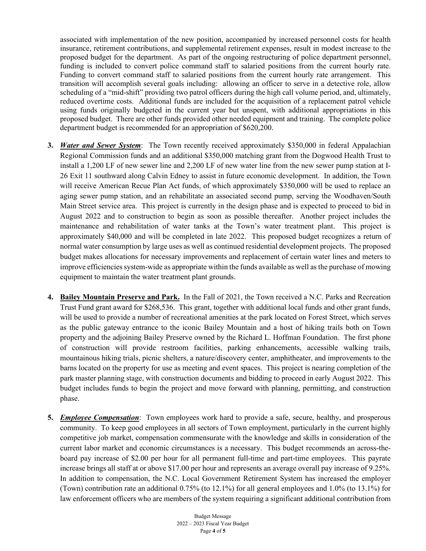associated with implementation of the new position, accompanied by increased personnel costs for health insurance, retirement contributions, and supplemental retirement expenses, result in modest increase to the proposed budget for the department. As part of the ongoing restructuring of police department personnel, funding is included to convert police command staff to salaried positions from the current hourly rate. Funding to convert command staff to salaried positions from the current hourly rate arrangement. This transition will accomplish several goals including: allowing an officer to serve in a detective role, allow scheduling of a "mid-shift" providing two patrol officers during the high call volume period, and, ultimately, reduced overtime costs. Additional funds are included for the acquisition of a replacement patrol vehicle using funds originally budgeted in the current year but unspent, with additional appropriations in this proposed budget. There are other funds provided other needed equipment and training. The complete police department budget is recommended for an appropriation of \$620,200.

- **3.** *Water and Sewer System*: The Town recently received approximately \$350,000 in federal Appalachian Regional Commission funds and an additional \$350,000 matching grant from the Dogwood Health Trust to install a 1,200 LF of new sewer line and 2,200 LF of new water line from the new sewer pump station at I-26 Exit 11 southward along Calvin Edney to assist in future economic development. In addition, the Town will receive American Recue Plan Act funds, of which approximately \$350,000 will be used to replace an aging sewer pump station, and an rehabilitate an associated second pump, serving the Woodhaven/South Main Street service area. This project is currently in the design phase and is expected to proceed to bid in August 2022 and to construction to begin as soon as possible thereafter. Another project includes the maintenance and rehabilitation of water tanks at the Town's water treatment plant. This project is approximately \$40,000 and will be completed in late 2022. This proposed budget recognizes a return of normal water consumption by large uses as well as continued residential development projects. The proposed budget makes allocations for necessary improvements and replacement of certain water lines and meters to improve efficienciessystem-wide as appropriate within the funds available as well as the purchase of mowing equipment to maintain the water treatment plant grounds.
- **4. Bailey Mountain Preserve and Park.** In the Fall of 2021, the Town received a N.C. Parks and Recreation Trust Fund grant award for \$268,536. This grant, together with additional local funds and other grant funds, will be used to provide a number of recreational amenities at the park located on Forest Street, which serves as the public gateway entrance to the iconic Bailey Mountain and a host of hiking trails both on Town property and the adjoining Bailey Preserve owned by the Richard L. Hoffman Foundation. The first phone of construction will provide restroom facilities, parking enhancements, accessible walking trails, mountainous hiking trials, picnic shelters, a nature/discovery center, amphitheater, and improvements to the barns located on the property for use as meeting and event spaces. This project is nearing completion of the park master planning stage, with construction documents and bidding to proceed in early August 2022. This budget includes funds to begin the project and move forward with planning, permitting, and construction phase.
- **5.** *Employee Compensation*: Town employees work hard to provide a safe, secure, healthy, and prosperous community. To keep good employees in all sectors of Town employment, particularly in the current highly competitive job market, compensation commensurate with the knowledge and skills in consideration of the current labor market and economic circumstances is a necessary. This budget recommends an across-theboard pay increase of \$2.00 per hour for all permanent full-time and part-time employees. This payrate increase brings all staff at or above \$17.00 per hour and represents an average overall pay increase of 9.25%. In addition to compensation, the N.C. Local Government Retirement System has increased the employer (Town) contribution rate an additional 0.75% (to 12.1%) for all general employees and 1.0% (to 13.1%) for law enforcement officers who are members of the system requiring a significant additional contribution from